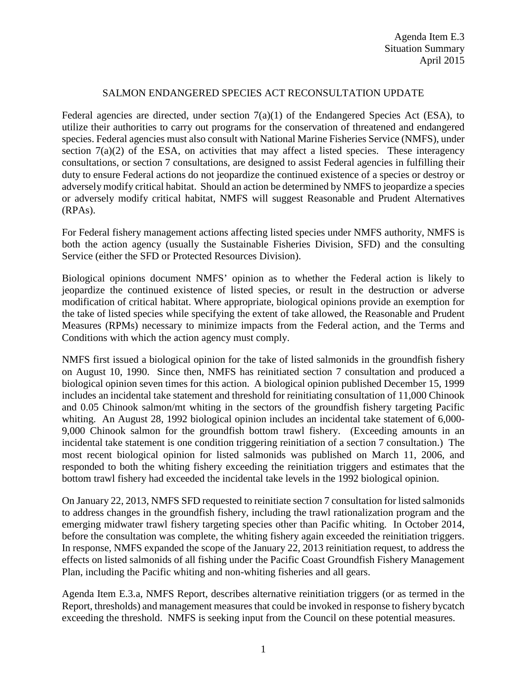## SALMON ENDANGERED SPECIES ACT RECONSULTATION UPDATE

Federal agencies are directed, under section 7(a)(1) of the Endangered Species Act (ESA), to utilize their authorities to carry out programs for the conservation of threatened and endangered species. Federal agencies must also consult with National Marine Fisheries Service (NMFS), under section  $7(a)(2)$  of the ESA, on activities that may affect a listed species. These interagency consultations, or section 7 consultations, are designed to assist Federal agencies in fulfilling their duty to ensure Federal actions do not jeopardize the continued existence of a species or destroy or adversely modify critical habitat. Should an action be determined by NMFS to jeopardize a species or adversely modify critical habitat, NMFS will suggest Reasonable and Prudent Alternatives (RPAs).

For Federal fishery management actions affecting listed species under NMFS authority, NMFS is both the action agency (usually the Sustainable Fisheries Division, SFD) and the consulting Service (either the SFD or Protected Resources Division).

Biological opinions document NMFS' opinion as to whether the Federal action is likely to jeopardize the continued existence of listed species, or result in the destruction or adverse modification of critical habitat. Where appropriate, biological opinions provide an exemption for the take of listed species while specifying the extent of take allowed, the Reasonable and Prudent Measures (RPMs) necessary to minimize impacts from the Federal action, and the Terms and Conditions with which the action agency must comply.

NMFS first issued a biological opinion for the take of listed salmonids in the groundfish fishery on August 10, 1990. Since then, NMFS has reinitiated section 7 consultation and produced a biological opinion seven times for this action. A biological opinion published December 15, 1999 includes an incidental take statement and threshold for reinitiating consultation of 11,000 Chinook and 0.05 Chinook salmon/mt whiting in the sectors of the groundfish fishery targeting Pacific whiting. An August 28, 1992 biological opinion includes an incidental take statement of 6,000- 9,000 Chinook salmon for the groundfish bottom trawl fishery. (Exceeding amounts in an incidental take statement is one condition triggering reinitiation of a section 7 consultation.) The most recent biological opinion for listed salmonids was published on March 11, 2006, and responded to both the whiting fishery exceeding the reinitiation triggers and estimates that the bottom trawl fishery had exceeded the incidental take levels in the 1992 biological opinion.

On January 22, 2013, NMFS SFD requested to reinitiate section 7 consultation for listed salmonids to address changes in the groundfish fishery, including the trawl rationalization program and the emerging midwater trawl fishery targeting species other than Pacific whiting. In October 2014, before the consultation was complete, the whiting fishery again exceeded the reinitiation triggers. In response, NMFS expanded the scope of the January 22, 2013 reinitiation request, to address the effects on listed salmonids of all fishing under the Pacific Coast Groundfish Fishery Management Plan, including the Pacific whiting and non-whiting fisheries and all gears.

Agenda Item E.3.a, NMFS Report, describes alternative reinitiation triggers (or as termed in the Report, thresholds) and management measures that could be invoked in response to fishery bycatch exceeding the threshold. NMFS is seeking input from the Council on these potential measures.